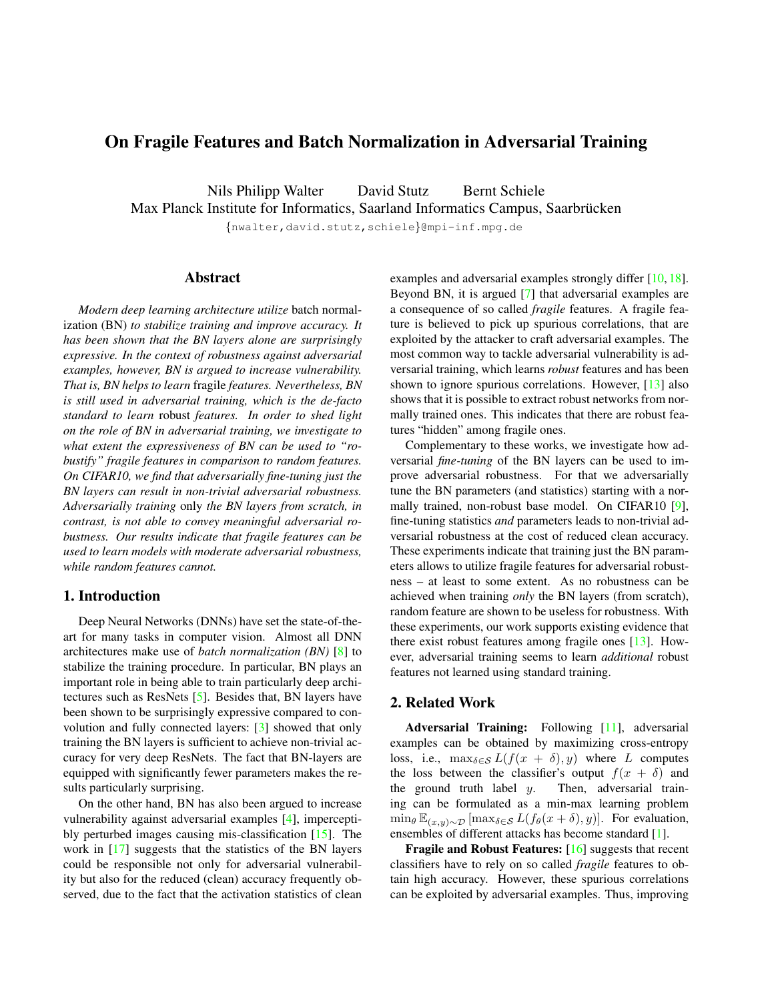# <span id="page-0-0"></span>On Fragile Features and Batch Normalization in Adversarial Training

Nils Philipp Walter David Stutz Bernt Schiele Max Planck Institute for Informatics, Saarland Informatics Campus, Saarbrücken

{nwalter,david.stutz,schiele}@mpi-inf.mpg.de

## Abstract

*Modern deep learning architecture utilize* batch normalization (BN) *to stabilize training and improve accuracy. It has been shown that the BN layers alone are surprisingly expressive. In the context of robustness against adversarial examples, however, BN is argued to increase vulnerability. That is, BN helps to learn* fragile *features. Nevertheless, BN is still used in adversarial training, which is the de-facto standard to learn* robust *features. In order to shed light on the role of BN in adversarial training, we investigate to what extent the expressiveness of BN can be used to "robustify" fragile features in comparison to random features. On CIFAR10, we find that adversarially fine-tuning just the BN layers can result in non-trivial adversarial robustness. Adversarially training* only *the BN layers from scratch, in contrast, is not able to convey meaningful adversarial robustness. Our results indicate that fragile features can be used to learn models with moderate adversarial robustness, while random features cannot.*

### 1. Introduction

Deep Neural Networks (DNNs) have set the state-of-theart for many tasks in computer vision. Almost all DNN architectures make use of *batch normalization (BN)* [\[8\]](#page-3-0) to stabilize the training procedure. In particular, BN plays an important role in being able to train particularly deep architectures such as ResNets [\[5\]](#page-3-1). Besides that, BN layers have been shown to be surprisingly expressive compared to convolution and fully connected layers: [\[3\]](#page-3-2) showed that only training the BN layers is sufficient to achieve non-trivial accuracy for very deep ResNets. The fact that BN-layers are equipped with significantly fewer parameters makes the results particularly surprising.

On the other hand, BN has also been argued to increase vulnerability against adversarial examples [\[4\]](#page-3-3), imperceptibly perturbed images causing mis-classification [\[15\]](#page-3-4). The work in [\[17\]](#page-3-5) suggests that the statistics of the BN layers could be responsible not only for adversarial vulnerability but also for the reduced (clean) accuracy frequently observed, due to the fact that the activation statistics of clean examples and adversarial examples strongly differ [\[10,](#page-3-6) [18\]](#page-3-7). Beyond BN, it is argued [\[7\]](#page-3-8) that adversarial examples are a consequence of so called *fragile* features. A fragile feature is believed to pick up spurious correlations, that are exploited by the attacker to craft adversarial examples. The most common way to tackle adversarial vulnerability is adversarial training, which learns *robust* features and has been shown to ignore spurious correlations. However, [\[13\]](#page-3-9) also shows that it is possible to extract robust networks from normally trained ones. This indicates that there are robust features "hidden" among fragile ones.

Complementary to these works, we investigate how adversarial *fine-tuning* of the BN layers can be used to improve adversarial robustness. For that we adversarially tune the BN parameters (and statistics) starting with a normally trained, non-robust base model. On CIFAR10 [\[9\]](#page-3-10), fine-tuning statistics *and* parameters leads to non-trivial adversarial robustness at the cost of reduced clean accuracy. These experiments indicate that training just the BN parameters allows to utilize fragile features for adversarial robustness – at least to some extent. As no robustness can be achieved when training *only* the BN layers (from scratch), random feature are shown to be useless for robustness. With these experiments, our work supports existing evidence that there exist robust features among fragile ones [\[13\]](#page-3-9). However, adversarial training seems to learn *additional* robust features not learned using standard training.

### 2. Related Work

Adversarial Training: Following [\[11\]](#page-3-11), adversarial examples can be obtained by maximizing cross-entropy loss, i.e.,  $\max_{\delta \in \mathcal{S}} L(f(x + \delta), y)$  where L computes the loss between the classifier's output  $f(x + \delta)$  and the ground truth label  $y$ . Then, adversarial training can be formulated as a min-max learning problem  $\min_{\theta} \mathbb{E}_{(x,y)\sim\mathcal{D}}[\max_{\delta \in \mathcal{S}} L(f_{\theta}(x+\delta), y)].$  For evaluation, ensembles of different attacks has become standard [\[1\]](#page-3-12).

Fragile and Robust Features: [\[16\]](#page-3-13) suggests that recent classifiers have to rely on so called *fragile* features to obtain high accuracy. However, these spurious correlations can be exploited by adversarial examples. Thus, improving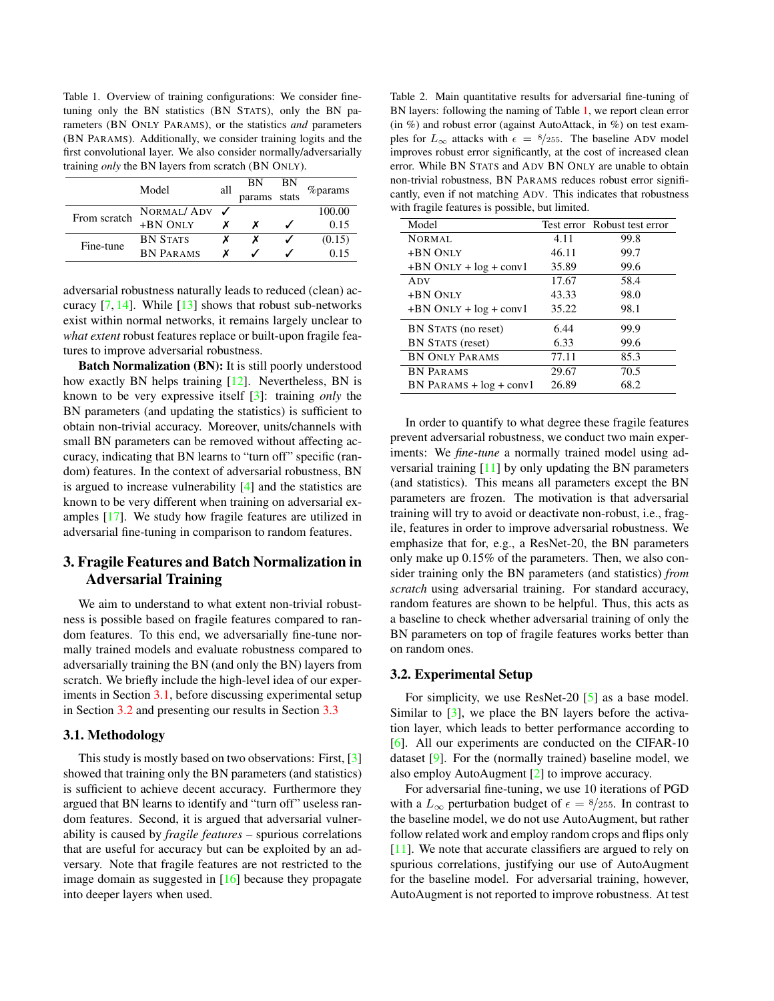<span id="page-1-4"></span><span id="page-1-2"></span>Table 1. Overview of training configurations: We consider finetuning only the BN statistics (BN STATS), only the BN parameters (BN ONLY PARAMS), or the statistics *and* parameters (BN PARAMS). Additionally, we consider training logits and the first convolutional layer. We also consider normally/adversarially training *only* the BN layers from scratch (BN ONLY).

|              | Model            | all | ΒN     | ΒN    |         |
|--------------|------------------|-----|--------|-------|---------|
|              |                  |     | params | stats | %params |
| From scratch | NORMAL/ ADV      |     |        |       | 100.00  |
|              | +BN ONLY         |     |        |       | 0.15    |
| Fine-tune    | <b>BN STATS</b>  |     |        |       | (0.15)  |
|              | <b>BN PARAMS</b> |     |        |       | 0.15    |
|              |                  |     |        |       |         |

adversarial robustness naturally leads to reduced (clean) accuracy  $[7, 14]$  $[7, 14]$  $[7, 14]$ . While  $[13]$  shows that robust sub-networks exist within normal networks, it remains largely unclear to *what extent* robust features replace or built-upon fragile features to improve adversarial robustness.

Batch Normalization (BN): It is still poorly understood how exactly BN helps training [\[12\]](#page-3-15). Nevertheless, BN is known to be very expressive itself [\[3\]](#page-3-2): training *only* the BN parameters (and updating the statistics) is sufficient to obtain non-trivial accuracy. Moreover, units/channels with small BN parameters can be removed without affecting accuracy, indicating that BN learns to "turn off" specific (random) features. In the context of adversarial robustness, BN is argued to increase vulnerability [\[4\]](#page-3-3) and the statistics are known to be very different when training on adversarial examples [\[17\]](#page-3-5). We study how fragile features are utilized in adversarial fine-tuning in comparison to random features.

## 3. Fragile Features and Batch Normalization in Adversarial Training

We aim to understand to what extent non-trivial robustness is possible based on fragile features compared to random features. To this end, we adversarially fine-tune normally trained models and evaluate robustness compared to adversarially training the BN (and only the BN) layers from scratch. We briefly include the high-level idea of our experiments in Section [3.1,](#page-1-0) before discussing experimental setup in Section [3.2](#page-1-1) and presenting our results in Section [3.3](#page-2-0)

#### <span id="page-1-0"></span>3.1. Methodology

This study is mostly based on two observations: First, [\[3\]](#page-3-2) showed that training only the BN parameters (and statistics) is sufficient to achieve decent accuracy. Furthermore they argued that BN learns to identify and "turn off" useless random features. Second, it is argued that adversarial vulnerability is caused by *fragile features* – spurious correlations that are useful for accuracy but can be exploited by an adversary. Note that fragile features are not restricted to the image domain as suggested in [\[16\]](#page-3-13) because they propagate into deeper layers when used.

<span id="page-1-3"></span>Table 2. Main quantitative results for adversarial fine-tuning of BN layers: following the naming of Table [1,](#page-1-2) we report clean error (in %) and robust error (against AutoAttack, in %) on test examples for  $L_{\infty}$  attacks with  $\epsilon = 8/255$ . The baseline ADV model improves robust error significantly, at the cost of increased clean error. While BN STATS and ADV BN ONLY are unable to obtain non-trivial robustness, BN PARAMS reduces robust error significantly, even if not matching ADV. This indicates that robustness with fragile features is possible, but limited.

| Model                       |       | Test error Robust test error |
|-----------------------------|-------|------------------------------|
| NORMAL                      | 4.11  | 99.8                         |
| $+BN$ ONLY                  | 46.11 | 99.7                         |
| $+BN$ ONLY $+ log + conv1$  | 35.89 | 99.6                         |
| ADV                         | 17.67 | 58.4                         |
| $+BN$ ONLY                  | 43.33 | 98.0                         |
| $+BN$ ONLY $+ log + conv1$  | 35.22 | 98.1                         |
| BN STATS (no reset)         | 6.44  | 99.9                         |
| <b>BN STATS (reset)</b>     | 6.33  | 99.6                         |
| <b>BN ONLY PARAMS</b>       | 77.11 | 85.3                         |
| <b>BN PARAMS</b>            | 29.67 | 70.5                         |
| $BN$ PARAMS + $log$ + conv1 | 26.89 | 68.2                         |

In order to quantify to what degree these fragile features prevent adversarial robustness, we conduct two main experiments: We *fine-tune* a normally trained model using adversarial training [\[11\]](#page-3-11) by only updating the BN parameters (and statistics). This means all parameters except the BN parameters are frozen. The motivation is that adversarial training will try to avoid or deactivate non-robust, i.e., fragile, features in order to improve adversarial robustness. We emphasize that for, e.g., a ResNet-20, the BN parameters only make up 0.15% of the parameters. Then, we also consider training only the BN parameters (and statistics) *from scratch* using adversarial training. For standard accuracy, random features are shown to be helpful. Thus, this acts as a baseline to check whether adversarial training of only the BN parameters on top of fragile features works better than on random ones.

#### <span id="page-1-1"></span>3.2. Experimental Setup

For simplicity, we use ResNet-20 [\[5\]](#page-3-1) as a base model. Similar to [\[3\]](#page-3-2), we place the BN layers before the activation layer, which leads to better performance according to [\[6\]](#page-3-16). All our experiments are conducted on the CIFAR-10 dataset [\[9\]](#page-3-10). For the (normally trained) baseline model, we also employ AutoAugment [\[2\]](#page-3-17) to improve accuracy.

For adversarial fine-tuning, we use 10 iterations of PGD with a  $L_{\infty}$  perturbation budget of  $\epsilon = \frac{8}{255}$ . In contrast to the baseline model, we do not use AutoAugment, but rather follow related work and employ random crops and flips only [\[11\]](#page-3-11). We note that accurate classifiers are argued to rely on spurious correlations, justifying our use of AutoAugment for the baseline model. For adversarial training, however, AutoAugment is not reported to improve robustness. At test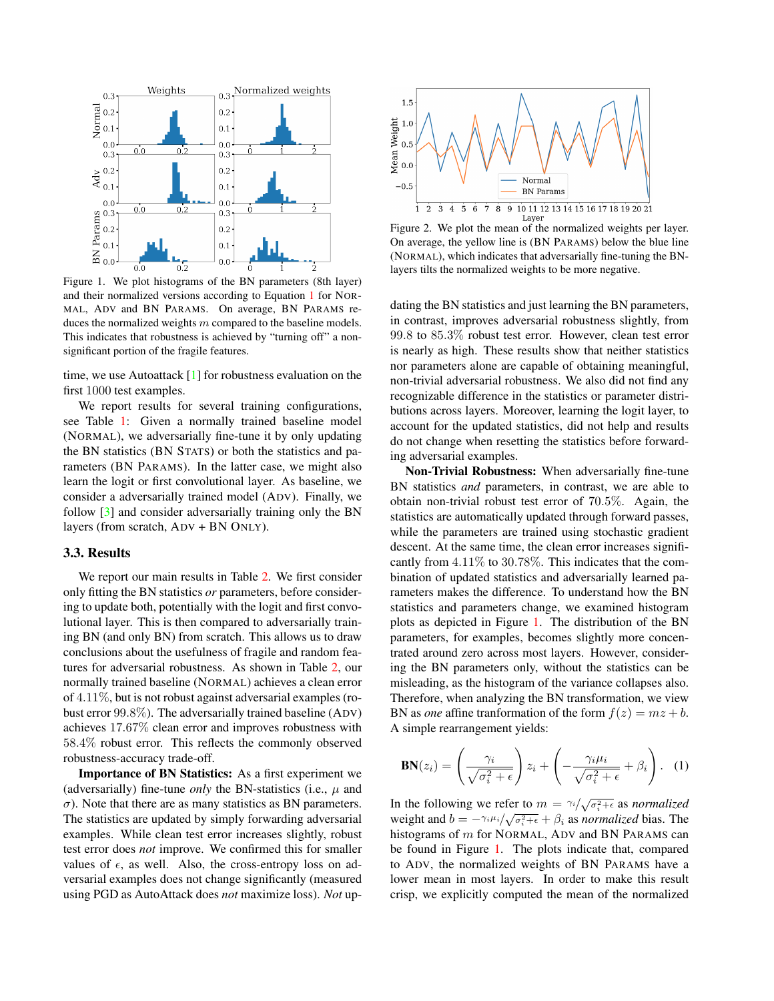<span id="page-2-4"></span><span id="page-2-2"></span>

Figure 1. We plot histograms of the BN parameters (8th layer) and their normalized versions according to Equation [1](#page-2-1) for NOR-MAL, ADV and BN PARAMS. On average, BN PARAMS reduces the normalized weights  $m$  compared to the baseline models. This indicates that robustness is achieved by "turning off" a nonsignificant portion of the fragile features.

time, we use Autoattack [\[1\]](#page-3-12) for robustness evaluation on the first 1000 test examples.

We report results for several training configurations, see Table [1:](#page-1-2) Given a normally trained baseline model (NORMAL), we adversarially fine-tune it by only updating the BN statistics (BN STATS) or both the statistics and parameters (BN PARAMS). In the latter case, we might also learn the logit or first convolutional layer. As baseline, we consider a adversarially trained model (ADV). Finally, we follow [\[3\]](#page-3-2) and consider adversarially training only the BN layers (from scratch, ADV + BN ONLY).

#### <span id="page-2-0"></span>3.3. Results

We report our main results in Table [2.](#page-1-3) We first consider only fitting the BN statistics *or* parameters, before considering to update both, potentially with the logit and first convolutional layer. This is then compared to adversarially training BN (and only BN) from scratch. This allows us to draw conclusions about the usefulness of fragile and random features for adversarial robustness. As shown in Table [2,](#page-1-3) our normally trained baseline (NORMAL) achieves a clean error of 4.11%, but is not robust against adversarial examples (robust error 99.8%). The adversarially trained baseline (ADV) achieves 17.67% clean error and improves robustness with 58.4% robust error. This reflects the commonly observed robustness-accuracy trade-off.

Importance of BN Statistics: As a first experiment we (adversarially) fine-tune *only* the BN-statistics (i.e.,  $\mu$  and  $\sigma$ ). Note that there are as many statistics as BN parameters. The statistics are updated by simply forwarding adversarial examples. While clean test error increases slightly, robust test error does *not* improve. We confirmed this for smaller values of  $\epsilon$ , as well. Also, the cross-entropy loss on adversarial examples does not change significantly (measured using PGD as AutoAttack does *not* maximize loss). *Not* up-

<span id="page-2-3"></span>

Figure 2. We plot the mean of the normalized weights per layer. On average, the yellow line is (BN PARAMS) below the blue line (NORMAL), which indicates that adversarially fine-tuning the BNlayers tilts the normalized weights to be more negative.

dating the BN statistics and just learning the BN parameters, in contrast, improves adversarial robustness slightly, from 99.8 to 85.3% robust test error. However, clean test error is nearly as high. These results show that neither statistics nor parameters alone are capable of obtaining meaningful, non-trivial adversarial robustness. We also did not find any recognizable difference in the statistics or parameter distributions across layers. Moreover, learning the logit layer, to account for the updated statistics, did not help and results do not change when resetting the statistics before forwarding adversarial examples.

Non-Trivial Robustness: When adversarially fine-tune BN statistics *and* parameters, in contrast, we are able to obtain non-trivial robust test error of 70.5%. Again, the statistics are automatically updated through forward passes, while the parameters are trained using stochastic gradient descent. At the same time, the clean error increases significantly from 4.11% to 30.78%. This indicates that the combination of updated statistics and adversarially learned parameters makes the difference. To understand how the BN statistics and parameters change, we examined histogram plots as depicted in Figure [1.](#page-2-2) The distribution of the BN parameters, for examples, becomes slightly more concentrated around zero across most layers. However, considering the BN parameters only, without the statistics can be misleading, as the histogram of the variance collapses also. Therefore, when analyzing the BN transformation, we view BN as *one* affine tranformation of the form  $f(z) = mz + b$ . A simple rearrangement yields:

<span id="page-2-1"></span>
$$
\mathbf{BN}(z_i) = \left(\frac{\gamma_i}{\sqrt{\sigma_i^2 + \epsilon}}\right) z_i + \left(-\frac{\gamma_i \mu_i}{\sqrt{\sigma_i^2 + \epsilon}} + \beta_i\right). \tag{1}
$$

In the following we refer to  $m = \frac{\gamma_i}{\sqrt{\sigma_i^2 + \epsilon}}$  as *normalized* weight and  $b = -\gamma_i \mu_i / \sqrt{\sigma_i^2 + \epsilon} + \beta_i$  as *normalized* bias. The histograms of m for NORMAL, ADV and BN PARAMS can be found in Figure [1.](#page-2-2) The plots indicate that, compared to ADV, the normalized weights of BN PARAMS have a lower mean in most layers. In order to make this result crisp, we explicitly computed the mean of the normalized